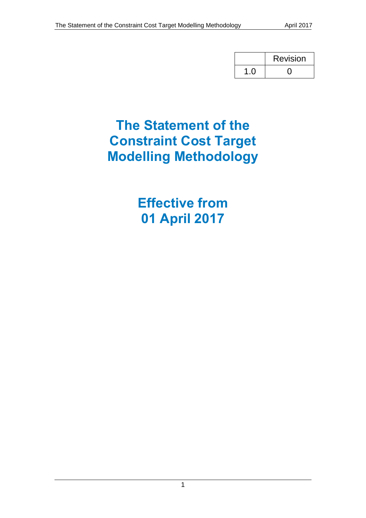|     | <b>Revision</b> |  |
|-----|-----------------|--|
| 7 O |                 |  |

# **The Statement of the Constraint Cost Target Modelling Methodology**

**Effective from 01 April 2017**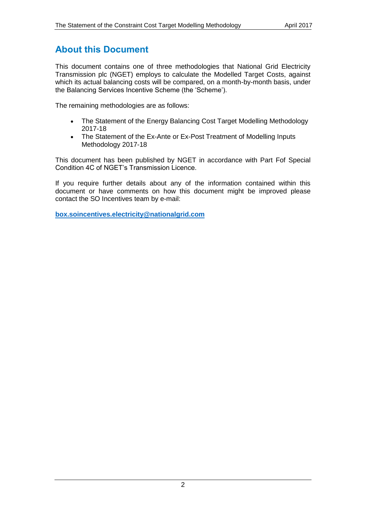# <span id="page-1-0"></span>**About this Document**

This document contains one of three methodologies that National Grid Electricity Transmission plc (NGET) employs to calculate the Modelled Target Costs, against which its actual balancing costs will be compared, on a month-by-month basis, under the Balancing Services Incentive Scheme (the 'Scheme').

The remaining methodologies are as follows:

- The Statement of the Energy Balancing Cost Target Modelling Methodology 2017-18
- The Statement of the Ex-Ante or Ex-Post Treatment of Modelling Inputs Methodology 2017-18

This document has been published by NGET in accordance with Part Fof Special Condition 4C of NGET's Transmission Licence.

If you require further details about any of the information contained within this document or have comments on how this document might be improved please contact the SO Incentives team by e-mail:

**[box.soincentives.electricity@nationalgrid.com](mailto:box.soincentives.electricity@nationalgrid.com)**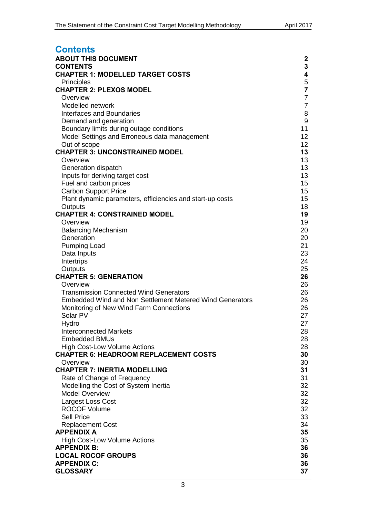<span id="page-2-0"></span>

| <b>Contents</b>                                                     |                |
|---------------------------------------------------------------------|----------------|
| <b>ABOUT THIS DOCUMENT</b>                                          | 2              |
| <b>CONTENTS</b>                                                     | 3              |
| <b>CHAPTER 1: MODELLED TARGET COSTS</b>                             | 4              |
| Principles                                                          | 5              |
| <b>CHAPTER 2: PLEXOS MODEL</b>                                      | $\overline{7}$ |
| Overview                                                            | $\overline{7}$ |
| Modelled network                                                    | $\overline{7}$ |
| <b>Interfaces and Boundaries</b>                                    | 8              |
| Demand and generation                                               | $\mathsf 9$    |
| Boundary limits during outage conditions                            | 11             |
| Model Settings and Erroneous data management                        | 12             |
| Out of scope<br><b>CHAPTER 3: UNCONSTRAINED MODEL</b>               | 12<br>13       |
| Overview                                                            | 13             |
| Generation dispatch                                                 | 13             |
| Inputs for deriving target cost                                     | 13             |
| Fuel and carbon prices                                              | 15             |
| <b>Carbon Support Price</b>                                         | 15             |
| Plant dynamic parameters, efficiencies and start-up costs           | 15             |
| Outputs                                                             | 18             |
| <b>CHAPTER 4: CONSTRAINED MODEL</b>                                 | 19             |
| Overview                                                            | 19             |
| <b>Balancing Mechanism</b>                                          | 20             |
| Generation                                                          | 20             |
| <b>Pumping Load</b>                                                 | 21             |
| Data Inputs                                                         | 23             |
| Intertrips                                                          | 24             |
| Outputs<br><b>CHAPTER 5: GENERATION</b>                             | 25<br>26       |
| Overview                                                            | 26             |
| <b>Transmission Connected Wind Generators</b>                       | 26             |
| <b>Embedded Wind and Non Settlement Metered Wind Generators</b>     | 26             |
| Monitoring of New Wind Farm Connections                             | 26             |
| Solar PV                                                            | 27             |
| Hydro                                                               | 27             |
| <b>Interconnected Markets</b>                                       | 28             |
| <b>Embedded BMUs</b>                                                | 28             |
| <b>High Cost-Low Volume Actions</b>                                 | 28             |
| <b>CHAPTER 6: HEADROOM REPLACEMENT COSTS</b>                        | 30             |
| Overview                                                            | 30             |
| <b>CHAPTER 7: INERTIA MODELLING</b>                                 | 31             |
| Rate of Change of Frequency<br>Modelling the Cost of System Inertia | 31<br>32       |
| <b>Model Overview</b>                                               | 32             |
| Largest Loss Cost                                                   | 32             |
| <b>ROCOF Volume</b>                                                 | 32             |
| <b>Sell Price</b>                                                   | 33             |
| <b>Replacement Cost</b>                                             | 34             |
| <b>APPENDIX A</b>                                                   | 35             |
| <b>High Cost-Low Volume Actions</b>                                 | 35             |
| <b>APPENDIX B:</b>                                                  | 36             |
| <b>LOCAL ROCOF GROUPS</b>                                           | 36             |
| <b>APPENDIX C:</b>                                                  | 36             |
| <b>GLOSSARY</b>                                                     | 37             |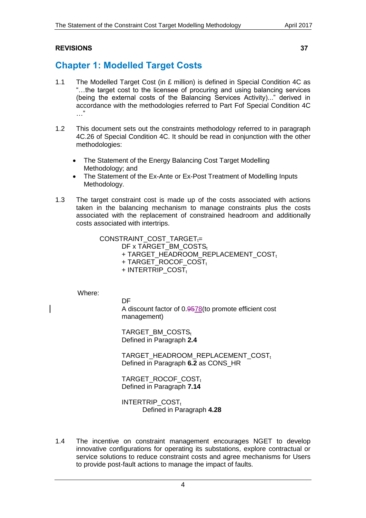# **[REVISIONS](#page-36-1) 37**

# <span id="page-3-0"></span>**Chapter 1: Modelled Target Costs**

- 1.1 The Modelled Target Cost (in £ million) is defined in Special Condition 4C as "…the target cost to the licensee of procuring and using balancing services (being the external costs of the Balancing Services Activity)..." derived in accordance with the methodologies referred to Part Fof Special Condition 4C …"
- 1.2 This document sets out the constraints methodology referred to in paragraph 4C.26 of Special Condition 4C. It should be read in conjunction with the other methodologies:
	- The Statement of the Energy Balancing Cost Target Modelling Methodology; and
	- The Statement of the Ex-Ante or Ex-Post Treatment of Modelling Inputs Methodology.
- 1.3 The target constraint cost is made up of the costs associated with actions taken in the balancing mechanism to manage constraints plus the costs associated with the replacement of constrained headroom and additionally costs associated with intertrips.

 $CONSTRAINT\_COST\_TARGET_t=$ 

DF x TARGET\_BM\_COSTSt + TARGET\_HEADROOM\_REPLACEMENT\_COSTt  $+$  TARGET\_ROCOF\_COST<sub>t</sub>  $+$  INTERTRIP\_COST,

Where:

**DF** 

A discount factor of 0.9578(to promote efficient cost management)

TARGET\_BM\_COSTS<sub>t</sub> Defined in Paragraph **[2.4](#page-6-3)**

TARGET\_HEADROOM\_REPLACEMENT\_COSTt Defined in Paragraph **[6.2](#page-29-2)** as CONS\_HR

TARGET\_ROCOF\_COSTt Defined in Paragraph **[7.14](#page-31-4)**

INTERTRIP\_COST, Defined in Paragraph **[4.28](#page-23-1)**

1.4 The incentive on constraint management encourages NGET to develop innovative configurations for operating its substations, explore contractual or service solutions to reduce constraint costs and agree mechanisms for Users to provide post-fault actions to manage the impact of faults.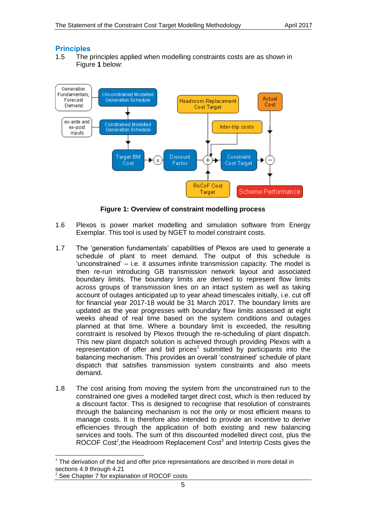### <span id="page-4-0"></span>**Principles**

1.5 The principles applied when modelling constraints costs are as shown in [Figure](#page-4-1) **1** below:



**Figure 1: Overview of constraint modelling process**

- <span id="page-4-1"></span>1.6 Plexos is power market modelling and simulation software from Energy Exemplar. This tool is used by NGET to model constraint costs.
- 1.7 The 'generation fundamentals' capabilities of Plexos are used to generate a schedule of plant to meet demand. The output of this schedule is 'unconstrained' – i.e. it assumes infinite transmission capacity. The model is then re-run introducing GB transmission network layout and associated boundary limits. The boundary limits are derived to represent flow limits across groups of transmission lines on an intact system as well as taking account of outages anticipated up to year ahead timescales initially, i.e. cut off for financial year 2017-18 would be 31 March 2017. The boundary limits are updated as the year progresses with boundary flow limits assessed at eight weeks ahead of real time based on the system conditions and outages planned at that time. Where a boundary limit is exceeded, the resulting constraint is resolved by Plexos through the re-scheduling of plant dispatch. This new plant dispatch solution is achieved through providing Plexos with a representation of offer and bid prices<sup>1</sup> submitted by participants into the balancing mechanism. This provides an overall 'constrained' schedule of plant dispatch that satisfies transmission system constraints and also meets demand.
- 1.8 The cost arising from moving the system from the unconstrained run to the constrained one gives a modelled target direct cost, which is then reduced by a discount factor. This is designed to recognise that resolution of constraints through the balancing mechanism is not the only or most efficient means to manage costs. It is therefore also intended to provide an incentive to derive efficiencies through the application of both existing and new balancing services and tools. The sum of this discounted modelled direct cost, plus the ROCOF Cost<sup>2</sup>, the Headroom Replacement Cost<sup>3</sup> and Intertrip Costs gives the

-

 $1$  The derivation of the bid and offer price representations are described in more detail in sections [4.9](#page-19-2) through [4.21](#page-21-0)

See Chapter 7 for explanation of ROCOF costs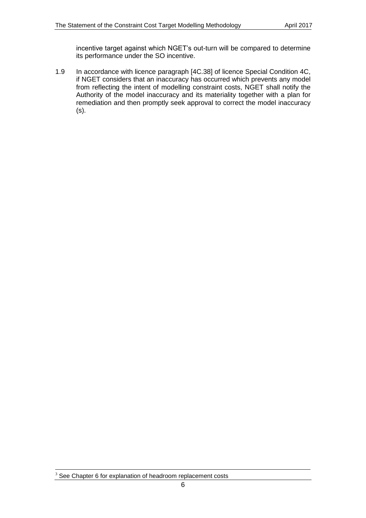incentive target against which NGET's out-turn will be compared to determine its performance under the SO incentive.

1.9 In accordance with licence paragraph [4C.38] of licence Special Condition 4C, if NGET considers that an inaccuracy has occurred which prevents any model from reflecting the intent of modelling constraint costs, NGET shall notify the Authority of the model inaccuracy and its materiality together with a plan for remediation and then promptly seek approval to correct the model inaccuracy (s).

-

 $3$  See Chapter 6 for explanation of headroom replacement costs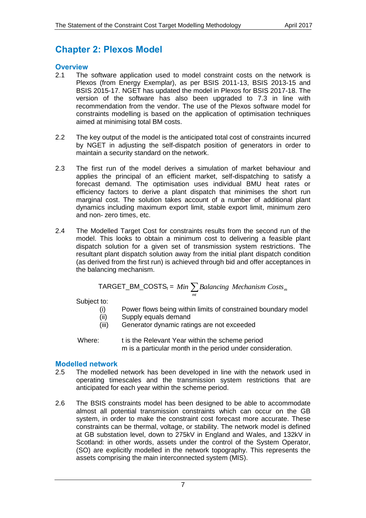# <span id="page-6-0"></span>**Chapter 2: Plexos Model**

### <span id="page-6-1"></span>**Overview**

- 2.1 The software application used to model constraint costs on the network is Plexos (from Energy Exemplar), as per BSIS 2011-13, BSIS 2013-15 and BSIS 2015-17. NGET has updated the model in Plexos for BSIS 2017-18. The version of the software has also been upgraded to 7.3 in line with recommendation from the vendor. The use of the Plexos software model for constraints modelling is based on the application of optimisation techniques aimed at minimising total BM costs.
- 2.2 The key output of the model is the anticipated total cost of constraints incurred by NGET in adjusting the self-dispatch position of generators in order to maintain a security standard on the network.
- 2.3 The first run of the model derives a simulation of market behaviour and applies the principal of an efficient market, self-dispatching to satisfy a forecast demand. The optimisation uses individual BMU heat rates or efficiency factors to derive a plant dispatch that minimises the short run marginal cost. The solution takes account of a number of additional plant dynamics including maximum export limit, stable export limit, minimum zero and non- zero times, etc.
- 2.4 The Modelled Target Cost for constraints results from the second run of the model. This looks to obtain a minimum cost to delivering a feasible plant dispatch solution for a given set of transmission system restrictions. The resultant plant dispatch solution away from the initial plant dispatch condition (as derived from the first run) is achieved through bid and offer acceptances in the balancing mechanism.

<span id="page-6-3"></span>
$$
TARGET\_BM\_COSTS_t = Min \sum_{mt} Balancing \; Mechanism \;Costs_m
$$

Subject to:

- (i) Power flows being within limits of constrained boundary model
- (ii) Supply equals demand
- (iii) Generator dynamic ratings are not exceeded

Where: t is the Relevant Year within the scheme period m is a particular month in the period under consideration.

# <span id="page-6-2"></span>**Modelled network**

- 2.5 The modelled network has been developed in line with the network used in operating timescales and the transmission system restrictions that are anticipated for each year within the scheme period.
- 2.6 The BSIS constraints model has been designed to be able to accommodate almost all potential transmission constraints which can occur on the GB system, in order to make the constraint cost forecast more accurate. These constraints can be thermal, voltage, or stability. The network model is defined at GB substation level, down to 275kV in England and Wales, and 132kV in Scotland: in other words, assets under the control of the System Operator, (SO) are explicitly modelled in the network topography. This represents the assets comprising the main interconnected system (MIS).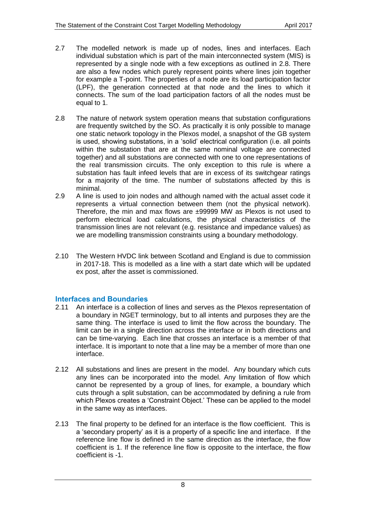- 2.7 The modelled network is made up of nodes, lines and interfaces. Each individual substation which is part of the main interconnected system (MIS) is represented by a single node with a few exceptions as outlined in [2.8.](#page-7-1) There are also a few nodes which purely represent points where lines join together for example a T-point. The properties of a node are its load participation factor (LPF), the generation connected at that node and the lines to which it connects. The sum of the load participation factors of all the nodes must be equal to 1.
- <span id="page-7-1"></span>2.8 The nature of network system operation means that substation configurations are frequently switched by the SO. As practically it is only possible to manage one static network topology in the Plexos model, a snapshot of the GB system is used, showing substations, in a 'solid' electrical configuration (i.e. all points within the substation that are at the same nominal voltage are connected together) and all substations are connected with one to one representations of the real transmission circuits. The only exception to this rule is where a substation has fault infeed levels that are in excess of its switchgear ratings for a majority of the time. The number of substations affected by this is minimal.
- 2.9 A line is used to join nodes and although named with the actual asset code it represents a virtual connection between them (not the physical network). Therefore, the min and max flows are ±99999 MW as Plexos is not used to perform electrical load calculations, the physical characteristics of the transmission lines are not relevant (e.g. resistance and impedance values) as we are modelling transmission constraints using a boundary methodology.
- 2.10 The Western HVDC link between Scotland and England is due to commission in 2017-18. This is modelled as a line with a start date which will be updated ex post, after the asset is commissioned.

# <span id="page-7-0"></span>**Interfaces and Boundaries**

- 2.11 An interface is a collection of lines and serves as the Plexos representation of a boundary in NGET terminology, but to all intents and purposes they are the same thing. The interface is used to limit the flow across the boundary. The limit can be in a single direction across the interface or in both directions and can be time-varying. Each line that crosses an interface is a member of that interface. It is important to note that a line may be a member of more than one interface.
- 2.12 All substations and lines are present in the model. Any boundary which cuts any lines can be incorporated into the model. Any limitation of flow which cannot be represented by a group of lines, for example, a boundary which cuts through a split substation, can be accommodated by defining a rule from which Plexos creates a 'Constraint Object.' These can be applied to the model in the same way as interfaces.
- 2.13 The final property to be defined for an interface is the flow coefficient. This is a 'secondary property' as it is a property of a specific line and interface. If the reference line flow is defined in the same direction as the interface, the flow coefficient is 1. If the reference line flow is opposite to the interface, the flow coefficient is -1.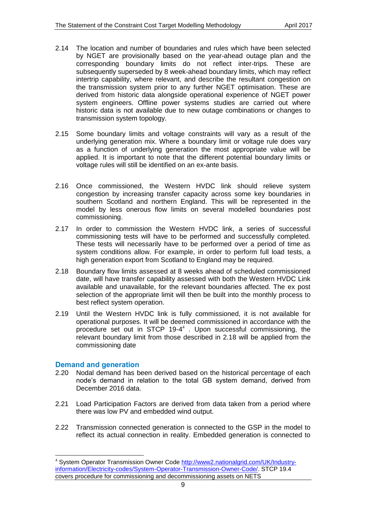- 2.14 The location and number of boundaries and rules which have been selected by NGET are provisionally based on the year-ahead outage plan and the corresponding boundary limits do not reflect inter-trips. These are subsequently superseded by 8 week-ahead boundary limits, which may reflect intertrip capability, where relevant, and describe the resultant congestion on the transmission system prior to any further NGET optimisation. These are derived from historic data alongside operational experience of NGET power system engineers. Offline power systems studies are carried out where historic data is not available due to new outage combinations or changes to transmission system topology.
- 2.15 Some boundary limits and voltage constraints will vary as a result of the underlying generation mix. Where a boundary limit or voltage rule does vary as a function of underlying generation the most appropriate value will be applied. It is important to note that the different potential boundary limits or voltage rules will still be identified on an ex-ante basis.
- 2.16 Once commissioned, the Western HVDC link should relieve system congestion by increasing transfer capacity across some key boundaries in southern Scotland and northern England. This will be represented in the model by less onerous flow limits on several modelled boundaries post commissioning.
- 2.17 In order to commission the Western HVDC link, a series of successful commissioning tests will have to be performed and successfully completed. These tests will necessarily have to be performed over a period of time as system conditions allow. For example, in order to perform full load tests, a high generation export from Scotland to England may be required.
- 2.18 Boundary flow limits assessed at 8 weeks ahead of scheduled commissioned date, will have transfer capability assessed with both the Western HVDC Link available and unavailable, for the relevant boundaries affected. The ex post selection of the appropriate limit will then be built into the monthly process to best reflect system operation.
- 2.19 Until the Western HVDC link is fully commissioned, it is not available for operational purposes. It will be deemed commissioned in accordance with the procedure set out in STCP 19-4 4 . Upon successful commissioning, the relevant boundary limit from those described in 2.18 will be applied from the commissioning date

### <span id="page-8-0"></span>**Demand and generation**

-

- 2.20 Nodal demand has been derived based on the historical percentage of each node's demand in relation to the total GB system demand, derived from December 2016 data.
- 2.21 Load Participation Factors are derived from data taken from a period where there was low PV and embedded wind output.
- 2.22 Transmission connected generation is connected to the GSP in the model to reflect its actual connection in reality. Embedded generation is connected to

<sup>4</sup> System Operator Transmission Owner Code [http://www2.nationalgrid.com/UK/Industry](http://www2.nationalgrid.com/UK/Industry-information/Electricity-codes/System-Operator-Transmission-Owner-Code/)[information/Electricity-codes/System-Operator-Transmission-Owner-Code/.](http://www2.nationalgrid.com/UK/Industry-information/Electricity-codes/System-Operator-Transmission-Owner-Code/) STCP 19.4 covers procedure for commissioning and decommissioning assets on NETS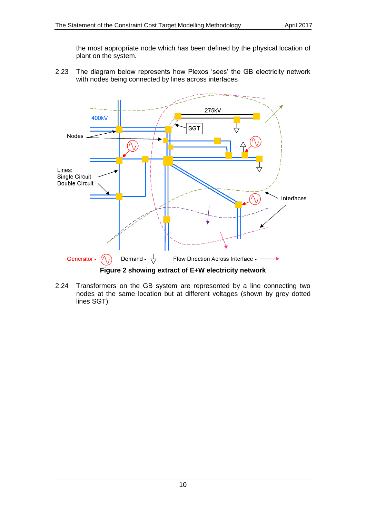the most appropriate node which has been defined by the physical location of plant on the system.

2.23 The diagram below represents how Plexos 'sees' the GB electricity network with nodes being connected by lines across interfaces



2.24 Transformers on the GB system are represented by a line connecting two nodes at the same location but at different voltages (shown by grey dotted lines SGT).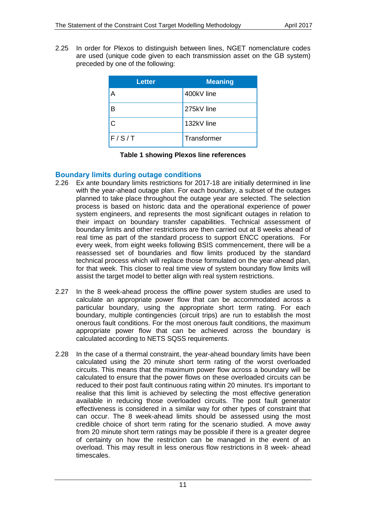2.25 In order for Plexos to distinguish between lines, NGET nomenclature codes are used (unique code given to each transmission asset on the GB system) preceded by one of the following:

| <b>Letter</b> | <b>Meaning</b> |
|---------------|----------------|
| A             | 400kV line     |
| B             | 275kV line     |
| C             | 132kV line     |
| F/S/T         | Transformer    |

|  |  | Table 1 showing Plexos line references |
|--|--|----------------------------------------|
|  |  |                                        |

# <span id="page-10-0"></span>**Boundary limits during outage conditions**

- 2.26 Ex ante boundary limits restrictions for 2017-18 are initially determined in line with the year-ahead outage plan. For each boundary, a subset of the outages planned to take place throughout the outage year are selected. The selection process is based on historic data and the operational experience of power system engineers, and represents the most significant outages in relation to their impact on boundary transfer capabilities. Technical assessment of boundary limits and other restrictions are then carried out at 8 weeks ahead of real time as part of the standard process to support ENCC operations. For every week, from eight weeks following BSIS commencement, there will be a reassessed set of boundaries and flow limits produced by the standard technical process which will replace those formulated on the year-ahead plan, for that week. This closer to real time view of system boundary flow limits will assist the target model to better align with real system restrictions.
- 2.27 In the 8 week-ahead process the offline power system studies are used to calculate an appropriate power flow that can be accommodated across a particular boundary, using the appropriate short term rating. For each boundary, multiple contingencies (circuit trips) are run to establish the most onerous fault conditions. For the most onerous fault conditions, the maximum appropriate power flow that can be achieved across the boundary is calculated according to NETS SQSS requirements.
- 2.28 In the case of a thermal constraint, the year-ahead boundary limits have been calculated using the 20 minute short term rating of the worst overloaded circuits. This means that the maximum power flow across a boundary will be calculated to ensure that the power flows on these overloaded circuits can be reduced to their post fault continuous rating within 20 minutes. It's important to realise that this limit is achieved by selecting the most effective generation available in reducing those overloaded circuits. The post fault generator effectiveness is considered in a similar way for other types of constraint that can occur. The 8 week-ahead limits should be assessed using the most credible choice of short term rating for the scenario studied. A move away from 20 minute short term ratings may be possible if there is a greater degree of certainty on how the restriction can be managed in the event of an overload. This may result in less onerous flow restrictions in 8 week- ahead timescales.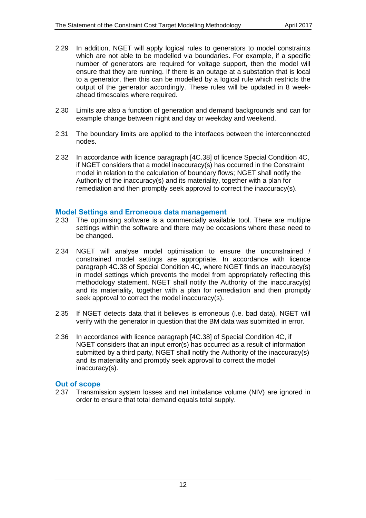- 2.29 In addition, NGET will apply logical rules to generators to model constraints which are not able to be modelled via boundaries. For example, if a specific number of generators are required for voltage support, then the model will ensure that they are running. If there is an outage at a substation that is local to a generator, then this can be modelled by a logical rule which restricts the output of the generator accordingly. These rules will be updated in 8 weekahead timescales where required.
- 2.30 Limits are also a function of generation and demand backgrounds and can for example change between night and day or weekday and weekend.
- 2.31 The boundary limits are applied to the interfaces between the interconnected nodes.
- 2.32 In accordance with licence paragraph [4C.38] of licence Special Condition 4C, if NGET considers that a model inaccuracy(s) has occurred in the Constraint model in relation to the calculation of boundary flows; NGET shall notify the Authority of the inaccuracy(s) and its materiality, together with a plan for remediation and then promptly seek approval to correct the inaccuracy(s).

### <span id="page-11-0"></span>**Model Settings and Erroneous data management**

- 2.33 The optimising software is a commercially available tool. There are multiple settings within the software and there may be occasions where these need to be changed.
- 2.34 NGET will analyse model optimisation to ensure the unconstrained / constrained model settings are appropriate. In accordance with licence paragraph 4C.38 of Special Condition 4C, where NGET finds an inaccuracy(s) in model settings which prevents the model from appropriately reflecting this methodology statement, NGET shall notify the Authority of the inaccuracy(s) and its materiality, together with a plan for remediation and then promptly seek approval to correct the model inaccuracy(s).
- 2.35 If NGET detects data that it believes is erroneous (i.e. bad data), NGET will verify with the generator in question that the BM data was submitted in error.
- 2.36 In accordance with licence paragraph [4C.38] of Special Condition 4C, if NGET considers that an input error(s) has occurred as a result of information submitted by a third party, NGET shall notify the Authority of the inaccuracy(s) and its materiality and promptly seek approval to correct the model inaccuracy(s).

### <span id="page-11-1"></span>**Out of scope**

2.37 Transmission system losses and net imbalance volume (NIV) are ignored in order to ensure that total demand equals total supply.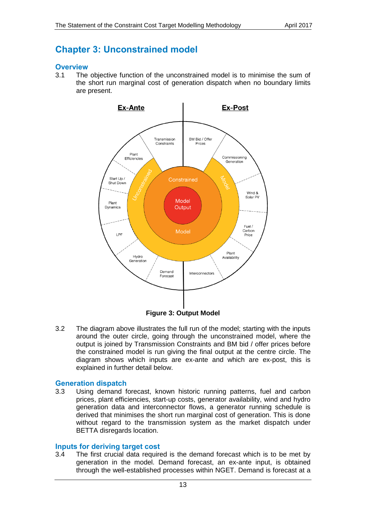# <span id="page-12-0"></span>**Chapter 3: Unconstrained model**

### <span id="page-12-1"></span>**Overview**

3.1 The objective function of the unconstrained model is to minimise the sum of the short run marginal cost of generation dispatch when no boundary limits are present.



**Figure 3: Output Model**

3.2 The diagram above illustrates the full run of the model; starting with the inputs around the outer circle, going through the unconstrained model, where the output is joined by Transmission Constraints and BM bid / offer prices before the constrained model is run giving the final output at the centre circle. The diagram shows which inputs are ex-ante and which are ex-post, this is explained in further detail below.

# <span id="page-12-2"></span>**Generation dispatch**

3.3 Using demand forecast, known historic running patterns, fuel and carbon prices, plant efficiencies, start-up costs, generator availability, wind and hydro generation data and interconnector flows, a generator running schedule is derived that minimises the short run marginal cost of generation. This is done without regard to the transmission system as the market dispatch under BETTA disregards location.

### <span id="page-12-3"></span>**Inputs for deriving target cost**

3.4 The first crucial data required is the demand forecast which is to be met by generation in the model. Demand forecast, an ex-ante input, is obtained through the well-established processes within NGET. Demand is forecast at a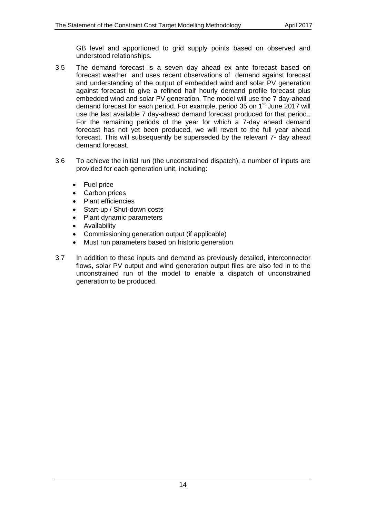GB level and apportioned to grid supply points based on observed and understood relationships.

- 3.5 The demand forecast is a seven day ahead ex ante forecast based on forecast weather and uses recent observations of demand against forecast and understanding of the output of embedded wind and solar PV generation against forecast to give a refined half hourly demand profile forecast plus embedded wind and solar PV generation. The model will use the 7 day-ahead demand forecast for each period. For example, period 35 on 1<sup>st</sup> June 2017 will use the last available 7 day-ahead demand forecast produced for that period.. For the remaining periods of the year for which a 7-day ahead demand forecast has not yet been produced, we will revert to the full year ahead forecast. This will subsequently be superseded by the relevant 7- day ahead demand forecast.
- 3.6 To achieve the initial run (the unconstrained dispatch), a number of inputs are provided for each generation unit, including:
	- Fuel price
	- Carbon prices
	- Plant efficiencies
	- Start-up / Shut-down costs
	- Plant dynamic parameters
	- **•** Availability
	- Commissioning generation output (if applicable)
	- Must run parameters based on historic generation
- 3.7 In addition to these inputs and demand as previously detailed, interconnector flows, solar PV output and wind generation output files are also fed in to the unconstrained run of the model to enable a dispatch of unconstrained generation to be produced.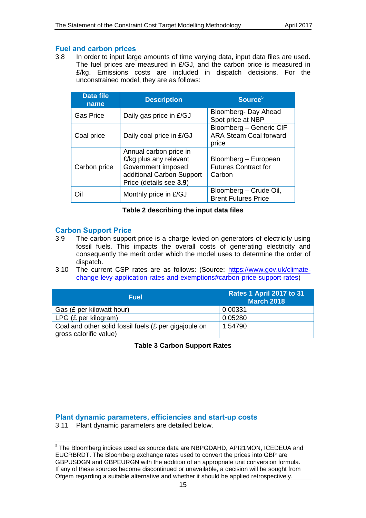### <span id="page-14-0"></span>**Fuel and carbon prices**

3.8 In order to input large amounts of time varying data, input data files are used. The fuel prices are measured in £/GJ, and the carbon price is measured in £/kg. Emissions costs are included in dispatch decisions. For the unconstrained model, they are as follows:

| <b>Data file</b><br>name | <b>Description</b>                                                                                                             | Source <sup>5</sup>                                               |
|--------------------------|--------------------------------------------------------------------------------------------------------------------------------|-------------------------------------------------------------------|
| <b>Gas Price</b>         | Daily gas price in £/GJ                                                                                                        | Bloomberg- Day Ahead<br>Spot price at NBP                         |
| Coal price               | Daily coal price in £/GJ                                                                                                       | Bloomberg - Generic CIF<br><b>ARA Steam Coal forward</b><br>price |
| Carbon price             | Annual carbon price in<br>£/kg plus any relevant<br>Government imposed<br>additional Carbon Support<br>Price (details see 3.9) | Bloomberg - European<br><b>Futures Contract for</b><br>Carbon     |
| Oil                      | Monthly price in £/GJ                                                                                                          | Bloomberg - Crude Oil,<br><b>Brent Futures Price</b>              |

### **Table 2 describing the input data files**

### <span id="page-14-1"></span>**Carbon Support Price**

- <span id="page-14-3"></span>3.9 The carbon support price is a charge levied on generators of electricity using fossil fuels. This impacts the overall costs of generating electricity and consequently the merit order which the model uses to determine the order of dispatch.
- 3.10 The current CSP rates are as follows: (Source: [https://www.gov.uk/climate](https://www.gov.uk/climate-change-levy-application-rates-and-exemptions#carbon-price-support-rates)[change-levy-application-rates-and-exemptions#carbon-price-support-rates\)](https://www.gov.uk/climate-change-levy-application-rates-and-exemptions#carbon-price-support-rates)

| <b>Fuel</b>                                                                     | <b>Rates 1 April 2017 to 31</b><br><b>March 2018</b> |
|---------------------------------------------------------------------------------|------------------------------------------------------|
| Gas (£ per kilowatt hour)                                                       | 0.00331                                              |
| LPG (£ per kilogram)                                                            | 0.05280                                              |
| Coal and other solid fossil fuels (£ per gigajoule on<br>gross calorific value) | 1.54790                                              |

**Table 3 Carbon Support Rates**

<span id="page-14-2"></span>**Plant dynamic parameters, efficiencies and start-up costs**

3.11 Plant dynamic parameters are detailed below.

<sup>-</sup><sup>5</sup> The Bloomberg indices used as source data are NBPGDAHD, API21MON, ICEDEUA and EUCRBRDT. The Bloomberg exchange rates used to convert the prices into GBP are GBPUSDGN and GBPEURGN with the addition of an appropriate unit conversion formula. If any of these sources become discontinued or unavailable, a decision will be sought from Ofgem regarding a suitable alternative and whether it should be applied retrospectively.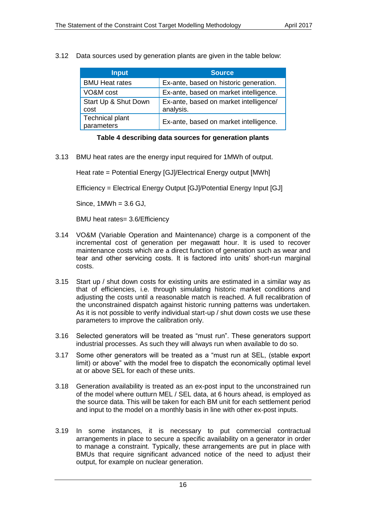3.12 Data sources used by generation plants are given in the table below:

| <b>Input</b>                         | <b>Source</b>                                       |
|--------------------------------------|-----------------------------------------------------|
| <b>BMU Heat rates</b>                | Ex-ante, based on historic generation.              |
| VO&M cost                            | Ex-ante, based on market intelligence.              |
| Start Up & Shut Down<br>cost         | Ex-ante, based on market intelligence/<br>analysis. |
| <b>Technical plant</b><br>parameters | Ex-ante, based on market intelligence.              |

**Table 4 describing data sources for generation plants**

3.13 BMU heat rates are the energy input required for 1MWh of output.

Heat rate = Potential Energy [GJ]/Electrical Energy output [MWh]

Efficiency = Electrical Energy Output [GJ]/Potential Energy Input [GJ]

Since,  $1$ MWh =  $3.6$  GJ,

BMU heat rates= 3.6/Efficiency

- 3.14 VO&M (Variable Operation and Maintenance) charge is a component of the incremental cost of generation per megawatt hour. It is used to recover maintenance costs which are a direct function of generation such as wear and tear and other servicing costs. It is factored into units' short-run marginal costs.
- 3.15 Start up / shut down costs for existing units are estimated in a similar way as that of efficiencies, i.e. through simulating historic market conditions and adjusting the costs until a reasonable match is reached. A full recalibration of the unconstrained dispatch against historic running patterns was undertaken. As it is not possible to verify individual start-up / shut down costs we use these parameters to improve the calibration only.
- 3.16 Selected generators will be treated as "must run". These generators support industrial processes. As such they will always run when available to do so.
- 3.17 Some other generators will be treated as a "must run at SEL, (stable export limit) or above" with the model free to dispatch the economically optimal level at or above SEL for each of these units.
- 3.18 Generation availability is treated as an ex-post input to the unconstrained run of the model where outturn MEL / SEL data, at 6 hours ahead, is employed as the source data. This will be taken for each BM unit for each settlement period and input to the model on a monthly basis in line with other ex-post inputs.
- 3.19 In some instances, it is necessary to put commercial contractual arrangements in place to secure a specific availability on a generator in order to manage a constraint. Typically, these arrangements are put in place with BMUs that require significant advanced notice of the need to adjust their output, for example on nuclear generation.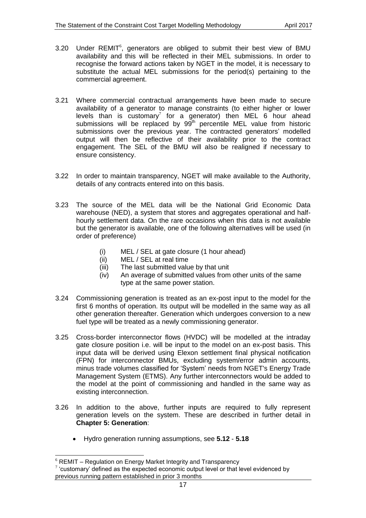- $3.20$  Under REMIT $<sup>6</sup>$ , generators are obliged to submit their best view of BMU</sup> availability and this will be reflected in their MEL submissions. In order to recognise the forward actions taken by NGET in the model, it is necessary to substitute the actual MEL submissions for the period(s) pertaining to the commercial agreement.
- 3.21 Where commercial contractual arrangements have been made to secure availability of a generator to manage constraints (to either higher or lower levels than is customary<sup>7</sup> for a generator) then MEL 6 hour ahead submissions will be replaced by  $99<sup>th</sup>$  percentile MEL value from historic submissions over the previous year. The contracted generators' modelled output will then be reflective of their availability prior to the contract engagement. The SEL of the BMU will also be realigned if necessary to ensure consistency.
- 3.22 In order to maintain transparency, NGET will make available to the Authority, details of any contracts entered into on this basis.
- 3.23 The source of the MEL data will be the National Grid Economic Data warehouse (NED), a system that stores and aggregates operational and halfhourly settlement data. On the rare occasions when this data is not available but the generator is available, one of the following alternatives will be used (in order of preference)
	- (i) MEL / SEL at gate closure (1 hour ahead)
	- (ii) MEL / SEL at real time
	- (iii) The last submitted value by that unit
	- (iv) An average of submitted values from other units of the same type at the same power station.
- 3.24 Commissioning generation is treated as an ex-post input to the model for the first 6 months of operation. Its output will be modelled in the same way as all other generation thereafter. Generation which undergoes conversion to a new fuel type will be treated as a newly commissioning generator.
- 3.25 Cross-border interconnector flows (HVDC) will be modelled at the intraday gate closure position i.e. will be input to the model on an ex-post basis. This input data will be derived using Elexon settlement final physical notification (FPN) for interconnector BMUs, excluding system/error admin accounts, minus trade volumes classified for 'System' needs from NGET's Energy Trade Management System (ETMS). Any further interconnectors would be added to the model at the point of commissioning and handled in the same way as existing interconnection.
- 3.26 In addition to the above, further inputs are required to fully represent generation levels on the system. These are described in further detail in **[Chapter 5: Generation](#page-25-0)**:
	- Hydro generation running assumptions, see **[5.12](#page-26-2) [5.18](#page-26-3)**

-

 $6$  REMIT – Regulation on Energy Market Integrity and Transparency

 $7$  'customary' defined as the expected economic output level or that level evidenced by previous running pattern established in prior 3 months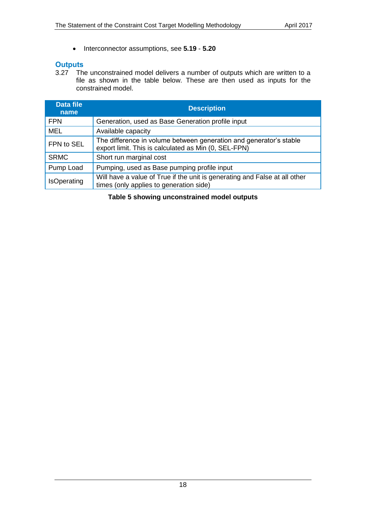Interconnector assumptions, see **[5.19](#page-27-3)** - **[5.20](#page-27-4)**

# <span id="page-17-0"></span>**Outputs**

3.27 The unconstrained model delivers a number of outputs which are written to a file as shown in the table below. These are then used as inputs for the constrained model.

| <b>Data file</b><br>name | <b>Description</b>                                                                                                         |  |
|--------------------------|----------------------------------------------------------------------------------------------------------------------------|--|
| <b>FPN</b>               | Generation, used as Base Generation profile input                                                                          |  |
| <b>MEL</b>               | Available capacity                                                                                                         |  |
| FPN to SEL               | The difference in volume between generation and generator's stable<br>export limit. This is calculated as Min (0, SEL-FPN) |  |
| <b>SRMC</b>              | Short run marginal cost                                                                                                    |  |
| Pump Load                | Pumping, used as Base pumping profile input                                                                                |  |
| <b>IsOperating</b>       | Will have a value of True if the unit is generating and False at all other<br>times (only applies to generation side)      |  |

**Table 5 showing unconstrained model outputs**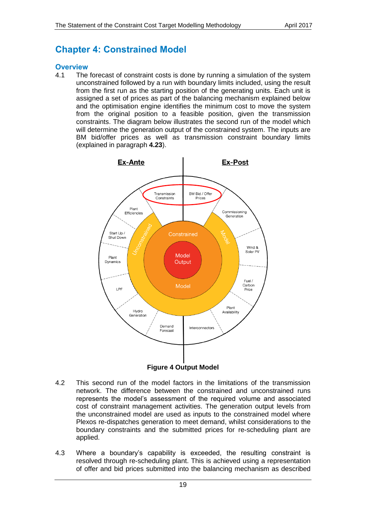# <span id="page-18-0"></span>**Chapter 4: Constrained Model**

### <span id="page-18-1"></span>**Overview**

4.1 The forecast of constraint costs is done by running a simulation of the system unconstrained followed by a run with boundary limits included, using the result from the first run as the starting position of the generating units. Each unit is assigned a set of prices as part of the balancing mechanism explained below and the optimisation engine identifies the minimum cost to move the system from the original position to a feasible position, given the transmission constraints. The diagram below illustrates the second run of the model which will determine the generation output of the constrained system. The inputs are BM bid/offer prices as well as transmission constraint boundary limits (explained in paragraph **[4.23](#page-22-1)**).



**Figure 4 Output Model**

- 4.2 This second run of the model factors in the limitations of the transmission network. The difference between the constrained and unconstrained runs represents the model's assessment of the required volume and associated cost of constraint management activities. The generation output levels from the unconstrained model are used as inputs to the constrained model where Plexos re-dispatches generation to meet demand, whilst considerations to the boundary constraints and the submitted prices for re-scheduling plant are applied.
- 4.3 Where a boundary's capability is exceeded, the resulting constraint is resolved through re-scheduling plant. This is achieved using a representation of offer and bid prices submitted into the balancing mechanism as described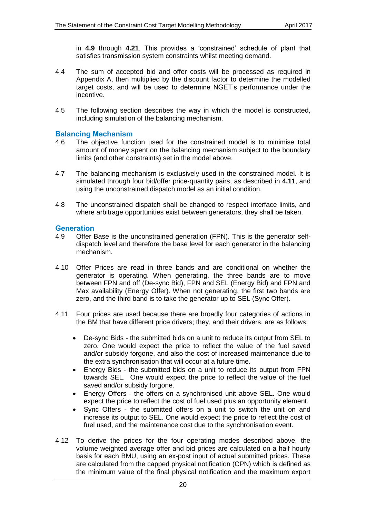in **[4.9](#page-19-2)** through **[4.21](#page-21-0)**. This provides a 'constrained' schedule of plant that satisfies transmission system constraints whilst meeting demand.

- 4.4 The sum of accepted bid and offer costs will be processed as required in Appendix A, then multiplied by the discount factor to determine the modelled target costs, and will be used to determine NGET's performance under the incentive.
- 4.5 The following section describes the way in which the model is constructed, including simulation of the balancing mechanism.

### <span id="page-19-0"></span>**Balancing Mechanism**

- 4.6 The objective function used for the constrained model is to minimise total amount of money spent on the balancing mechanism subject to the boundary limits (and other constraints) set in the model above.
- 4.7 The balancing mechanism is exclusively used in the constrained model. It is simulated through four bid/offer price-quantity pairs, as described in **[4.11](#page-19-3)**, and using the unconstrained dispatch model as an initial condition.
- 4.8 The unconstrained dispatch shall be changed to respect interface limits, and where arbitrage opportunities exist between generators, they shall be taken.

### <span id="page-19-1"></span>**Generation**

- <span id="page-19-2"></span>4.9 Offer Base is the unconstrained generation (FPN). This is the generator selfdispatch level and therefore the base level for each generator in the balancing mechanism.
- 4.10 Offer Prices are read in three bands and are conditional on whether the generator is operating. When generating, the three bands are to move between FPN and off (De-sync Bid), FPN and SEL (Energy Bid) and FPN and Max availability (Energy Offer). When not generating, the first two bands are zero, and the third band is to take the generator up to SEL (Sync Offer).
- <span id="page-19-3"></span>4.11 Four prices are used because there are broadly four categories of actions in the BM that have different price drivers; they, and their drivers, are as follows:
	- De-sync Bids the submitted bids on a unit to reduce its output from SEL to zero. One would expect the price to reflect the value of the fuel saved and/or subsidy forgone, and also the cost of increased maintenance due to the extra synchronisation that will occur at a future time.
	- Energy Bids the submitted bids on a unit to reduce its output from FPN towards SEL. One would expect the price to reflect the value of the fuel saved and/or subsidy forgone.
	- Energy Offers the offers on a synchronised unit above SEL. One would expect the price to reflect the cost of fuel used plus an opportunity element.
	- Sync Offers the submitted offers on a unit to switch the unit on and increase its output to SEL. One would expect the price to reflect the cost of fuel used, and the maintenance cost due to the synchronisation event.
- 4.12 To derive the prices for the four operating modes described above, the volume weighted average offer and bid prices are calculated on a half hourly basis for each BMU, using an ex-post input of actual submitted prices. These are calculated from the capped physical notification (CPN) which is defined as the minimum value of the final physical notification and the maximum export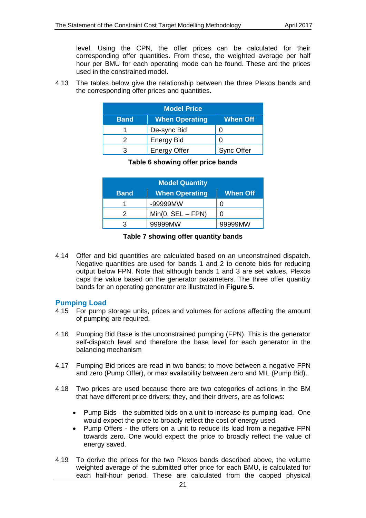level. Using the CPN, the offer prices can be calculated for their corresponding offer quantities. From these, the weighted average per half hour per BMU for each operating mode can be found. These are the prices used in the constrained model.

4.13 The tables below give the relationship between the three Plexos bands and the corresponding offer prices and quantities.

| <b>Model Price</b>                                      |                     |                   |  |
|---------------------------------------------------------|---------------------|-------------------|--|
| <b>When Operating</b><br><b>When Off</b><br><b>Band</b> |                     |                   |  |
|                                                         | De-sync Bid         |                   |  |
|                                                         | <b>Energy Bid</b>   |                   |  |
|                                                         | <b>Energy Offer</b> | <b>Sync Offer</b> |  |

### **Table 6 showing offer price bands**

| <b>Model Quantity</b> |                       |                 |
|-----------------------|-----------------------|-----------------|
| <b>Band</b>           | <b>When Operating</b> | <b>When Off</b> |
| 1                     | -99999MW              |                 |
| 2                     | $Min(0, SEL - FPN)$   | ŋ               |
| З                     | 99999MW               | 99999MW         |

#### **Table 7 showing offer quantity bands**

4.14 Offer and bid quantities are calculated based on an unconstrained dispatch. Negative quantities are used for bands 1 and 2 to denote bids for reducing output below FPN. Note that although bands 1 and 3 are set values, Plexos caps the value based on the generator parameters. The three offer quantity bands for an operating generator are illustrated in **[Figure 5](#page-21-1)**.

### <span id="page-20-0"></span>**Pumping Load**

- 4.15 For pump storage units, prices and volumes for actions affecting the amount of pumping are required.
- 4.16 Pumping Bid Base is the unconstrained pumping (FPN). This is the generator self-dispatch level and therefore the base level for each generator in the balancing mechanism
- 4.17 Pumping Bid prices are read in two bands; to move between a negative FPN and zero (Pump Offer), or max availability between zero and MIL (Pump Bid).
- 4.18 Two prices are used because there are two categories of actions in the BM that have different price drivers; they, and their drivers, are as follows:
	- Pump Bids the submitted bids on a unit to increase its pumping load. One would expect the price to broadly reflect the cost of energy used.
	- Pump Offers the offers on a unit to reduce its load from a negative FPN towards zero. One would expect the price to broadly reflect the value of energy saved.
- 4.19 To derive the prices for the two Plexos bands described above, the volume weighted average of the submitted offer price for each BMU, is calculated for each half-hour period. These are calculated from the capped physical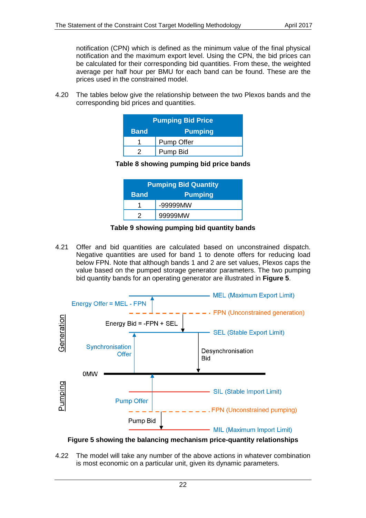notification (CPN) which is defined as the minimum value of the final physical notification and the maximum export level. Using the CPN, the bid prices can be calculated for their corresponding bid quantities. From these, the weighted average per half hour per BMU for each band can be found. These are the prices used in the constrained model.

4.20 The tables below give the relationship between the two Plexos bands and the corresponding bid prices and quantities.

|                               | <b>Pumping Bid Price</b> |  |  |
|-------------------------------|--------------------------|--|--|
| <b>Pumping</b><br><b>Band</b> |                          |  |  |
|                               | Pump Offer               |  |  |
|                               | Pump Bid                 |  |  |

# **Table 8 showing pumping bid price bands**

| <b>Pumping Bid Quantity</b>   |              |
|-------------------------------|--------------|
| <b>Pumping</b><br><b>Band</b> |              |
|                               | $-999999$ MW |
|                               | 99999MW      |

# **Table 9 showing pumping bid quantity bands**

<span id="page-21-0"></span>4.21 Offer and bid quantities are calculated based on unconstrained dispatch. Negative quantities are used for band 1 to denote offers for reducing load below FPN. Note that although bands 1 and 2 are set values, Plexos caps the value based on the pumped storage generator parameters. The two pumping bid quantity bands for an operating generator are illustrated in **[Figure 5](#page-21-1)**.



# <span id="page-21-1"></span>**Figure 5 showing the balancing mechanism price-quantity relationships**

4.22 The model will take any number of the above actions in whatever combination is most economic on a particular unit, given its dynamic parameters.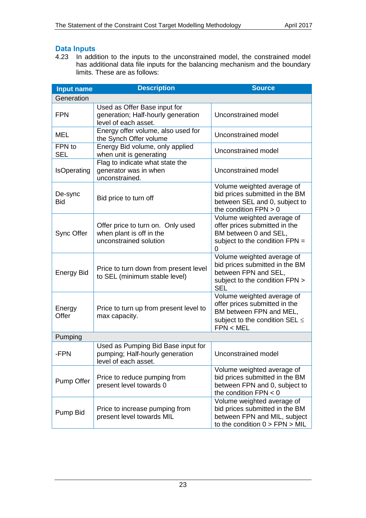# <span id="page-22-0"></span>**Data Inputs**

<span id="page-22-1"></span>4.23 In addition to the inputs to the unconstrained model, the constrained model has additional data file inputs for the balancing mechanism and the boundary limits. These are as follows:

| <b>Input name</b>     | <b>Description</b>                                                                            | <b>Source</b>                                                                                                                              |  |
|-----------------------|-----------------------------------------------------------------------------------------------|--------------------------------------------------------------------------------------------------------------------------------------------|--|
| Generation            |                                                                                               |                                                                                                                                            |  |
| <b>FPN</b>            | Used as Offer Base input for<br>generation; Half-hourly generation<br>level of each asset.    | Unconstrained model                                                                                                                        |  |
| <b>MEL</b>            | Energy offer volume, also used for<br>the Synch Offer volume                                  | Unconstrained model                                                                                                                        |  |
| FPN to<br><b>SEL</b>  | Energy Bid volume, only applied<br>when unit is generating                                    | Unconstrained model                                                                                                                        |  |
| IsOperating           | Flag to indicate what state the<br>generator was in when<br>unconstrained.                    | Unconstrained model                                                                                                                        |  |
| De-sync<br><b>Bid</b> | Bid price to turn off                                                                         | Volume weighted average of<br>bid prices submitted in the BM<br>between SEL and 0, subject to<br>the condition $FPN > 0$                   |  |
| Sync Offer            | Offer price to turn on. Only used<br>when plant is off in the<br>unconstrained solution       | Volume weighted average of<br>offer prices submitted in the<br>BM between 0 and SEL,<br>subject to the condition FPN =<br>0                |  |
| <b>Energy Bid</b>     | Price to turn down from present level<br>to SEL (minimum stable level)                        | Volume weighted average of<br>bid prices submitted in the BM<br>between FPN and SEL,<br>subject to the condition FPN ><br><b>SEL</b>       |  |
| Energy<br>Offer       | Price to turn up from present level to<br>max capacity.                                       | Volume weighted average of<br>offer prices submitted in the<br>BM between FPN and MEL,<br>subject to the condition SEL $\leq$<br>FPN < MEL |  |
| Pumping               |                                                                                               |                                                                                                                                            |  |
| -FPN                  | Used as Pumping Bid Base input for<br>pumping; Half-hourly generation<br>level of each asset. | Unconstrained model                                                                                                                        |  |
| Pump Offer            | Price to reduce pumping from<br>present level towards 0                                       | Volume weighted average of<br>bid prices submitted in the BM<br>between FPN and 0, subject to<br>the condition $FPN < 0$                   |  |
| Pump Bid              | Price to increase pumping from<br>present level towards MIL                                   | Volume weighted average of<br>bid prices submitted in the BM<br>between FPN and MIL, subject<br>to the condition $0 > FPN > MIL$           |  |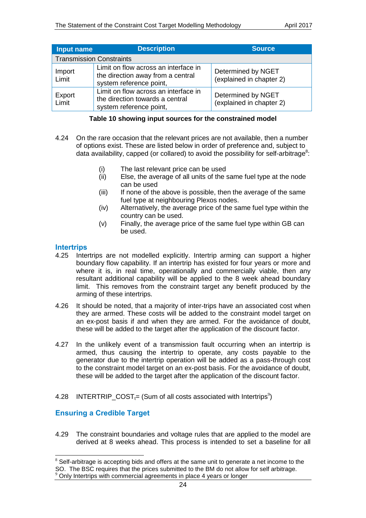| Input name                      | <b>Description</b>                                                                                   | <b>Source</b>                                  |
|---------------------------------|------------------------------------------------------------------------------------------------------|------------------------------------------------|
| <b>Transmission Constraints</b> |                                                                                                      |                                                |
| Import<br>Limit                 | Limit on flow across an interface in<br>the direction away from a central<br>system reference point, | Determined by NGET<br>(explained in chapter 2) |
| Export<br>Limit                 | Limit on flow across an interface in<br>the direction towards a central<br>system reference point,   | Determined by NGET<br>(explained in chapter 2) |

#### **Table 10 showing input sources for the constrained model**

- 4.24 On the rare occasion that the relevant prices are not available, then a number of options exist. These are listed below in order of preference and, subject to data availability, capped (or collared) to avoid the possibility for self-arbitrage<sup>8</sup>:
	- (i) The last relevant price can be used
	- (ii) Else, the average of all units of the same fuel type at the node can be used
	- (iii) If none of the above is possible, then the average of the same fuel type at neighbouring Plexos nodes.
	- (iv) Alternatively, the average price of the same fuel type within the country can be used.
	- (v) Finally, the average price of the same fuel type within GB can be used.

### <span id="page-23-0"></span>**Intertrips**

- 4.25 Intertrips are not modelled explicitly. Intertrip arming can support a higher boundary flow capability. If an intertrip has existed for four years or more and where it is, in real time, operationally and commercially viable, then any resultant additional capability will be applied to the 8 week ahead boundary limit. This removes from the constraint target any benefit produced by the arming of these intertrips.
- 4.26 It should be noted, that a majority of inter-trips have an associated cost when they are armed. These costs will be added to the constraint model target on an ex-post basis if and when they are armed. For the avoidance of doubt, these will be added to the target after the application of the discount factor.
- 4.27 In the unlikely event of a transmission fault occurring when an intertrip is armed, thus causing the intertrip to operate, any costs payable to the generator due to the intertrip operation will be added as a pass-through cost to the constraint model target on an ex-post basis. For the avoidance of doubt, these will be added to the target after the application of the discount factor.
- <span id="page-23-1"></span>4.28 INTERTRIP\_COST<sub> $t=$ </sub> (Sum of all costs associated with Intertrips<sup>9</sup>)

# **Ensuring a Credible Target**

-

4.29 The constraint boundaries and voltage rules that are applied to the model are derived at 8 weeks ahead. This process is intended to set a baseline for all

 $8$  Self-arbitrage is accepting bids and offers at the same unit to generate a net income to the SO. The BSC requires that the prices submitted to the BM do not allow for self arbitrage. Only Intertrips with commercial agreements in place 4 years or longer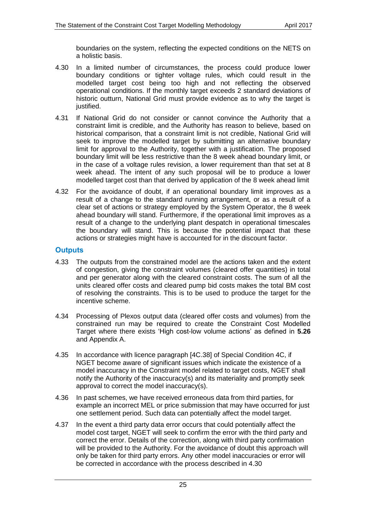boundaries on the system, reflecting the expected conditions on the NETS on a holistic basis.

- 4.30 In a limited number of circumstances, the process could produce lower boundary conditions or tighter voltage rules, which could result in the modelled target cost being too high and not reflecting the observed operational conditions. If the monthly target exceeds 2 standard deviations of historic outturn, National Grid must provide evidence as to why the target is justified.
- 4.31 If National Grid do not consider or cannot convince the Authority that a constraint limit is credible, and the Authority has reason to believe, based on historical comparison, that a constraint limit is not credible, National Grid will seek to improve the modelled target by submitting an alternative boundary limit for approval to the Authority, together with a justification. The proposed boundary limit will be less restrictive than the 8 week ahead boundary limit, or in the case of a voltage rules revision, a lower requirement than that set at 8 week ahead. The intent of any such proposal will be to produce a lower modelled target cost than that derived by application of the 8 week ahead limit
- 4.32 For the avoidance of doubt, if an operational boundary limit improves as a result of a change to the standard running arrangement, or as a result of a clear set of actions or strategy employed by the System Operator, the 8 week ahead boundary will stand. Furthermore, if the operational limit improves as a result of a change to the underlying plant despatch in operational timescales the boundary will stand. This is because the potential impact that these actions or strategies might have is accounted for in the discount factor.

# <span id="page-24-0"></span>**Outputs**

- 4.33 The outputs from the constrained model are the actions taken and the extent of congestion, giving the constraint volumes (cleared offer quantities) in total and per generator along with the cleared constraint costs. The sum of all the units cleared offer costs and cleared pump bid costs makes the total BM cost of resolving the constraints. This is to be used to produce the target for the incentive scheme.
- 4.34 Processing of Plexos output data (cleared offer costs and volumes) from the constrained run may be required to create the Constraint Cost Modelled Target where there exists 'High cost-low volume actions' as defined in **[5.26](#page-27-5)** and Appendix A.
- 4.35 In accordance with licence paragraph [4C.38] of Special Condition 4C, if NGET become aware of significant issues which indicate the existence of a model inaccuracy in the Constraint model related to target costs, NGET shall notify the Authority of the inaccuracy(s) and its materiality and promptly seek approval to correct the model inaccuracy(s).
- 4.36 In past schemes, we have received erroneous data from third parties, for example an incorrect MEL or price submission that may have occurred for just one settlement period. Such data can potentially affect the model target.
- 4.37 In the event a third party data error occurs that could potentially affect the model cost target, NGET will seek to confirm the error with the third party and correct the error. Details of the correction, along with third party confirmation will be provided to the Authority. For the avoidance of doubt this approach will only be taken for third party errors. Any other model inaccuracies or error will be corrected in accordance with the process described in 4.30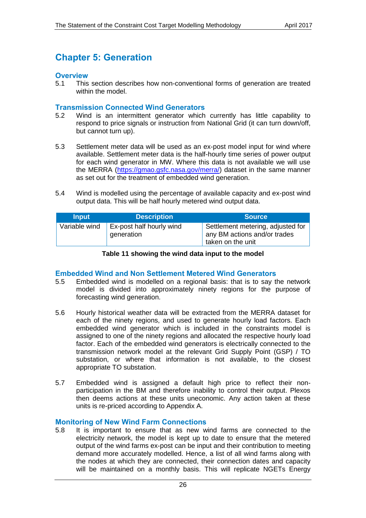# <span id="page-25-0"></span>**Chapter 5: Generation**

### <span id="page-25-1"></span>**Overview**

5.1 This section describes how non-conventional forms of generation are treated within the model.

### <span id="page-25-2"></span>**Transmission Connected Wind Generators**

- 5.2 Wind is an intermittent generator which currently has little capability to respond to price signals or instruction from National Grid (it can turn down/off, but cannot turn up).
- 5.3 Settlement meter data will be used as an ex-post model input for wind where available. Settlement meter data is the half-hourly time series of power output for each wind generator in MW. Where this data is not available we will use the MERRA [\(https://gmao.gsfc.nasa.gov/merra/\)](https://gmao.gsfc.nasa.gov/merra/) dataset in the same manner as set out for the treatment of embedded wind generation.
- 5.4 Wind is modelled using the percentage of available capacity and ex-post wind output data. This will be half hourly metered wind output data.

| <b>Input</b>  | <b>Description</b>                            | <b>Source</b>                                                                          |
|---------------|-----------------------------------------------|----------------------------------------------------------------------------------------|
| Variable wind | <b>Ex-post half hourly wind</b><br>generation | Settlement metering, adjusted for<br>any BM actions and/or trades<br>taken on the unit |

#### **Table 11 showing the wind data input to the model**

### <span id="page-25-3"></span>**Embedded Wind and Non Settlement Metered Wind Generators**

- 5.5 Embedded wind is modelled on a regional basis: that is to say the network model is divided into approximately ninety regions for the purpose of forecasting wind generation.
- 5.6 Hourly historical weather data will be extracted from the MERRA dataset for each of the ninety regions, and used to generate hourly load factors. Each embedded wind generator which is included in the constraints model is assigned to one of the ninety regions and allocated the respective hourly load factor. Each of the embedded wind generators is electrically connected to the transmission network model at the relevant Grid Supply Point (GSP) / TO substation, or where that information is not available, to the closest appropriate TO substation.
- 5.7 Embedded wind is assigned a default high price to reflect their nonparticipation in the BM and therefore inability to control their output. Plexos then deems actions at these units uneconomic. Any action taken at these units is re-priced according to Appendix A.

# <span id="page-25-4"></span>**Monitoring of New Wind Farm Connections**

5.8 It is important to ensure that as new wind farms are connected to the electricity network, the model is kept up to date to ensure that the metered output of the wind farms ex-post can be input and their contribution to meeting demand more accurately modelled. Hence, a list of all wind farms along with the nodes at which they are connected, their connection dates and capacity will be maintained on a monthly basis. This will replicate NGETs Energy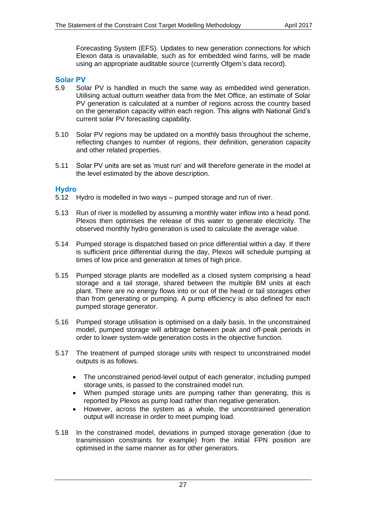Forecasting System (EFS). Updates to new generation connections for which Elexon data is unavailable, such as for embedded wind farms, will be made using an appropriate auditable source (currently Ofgem's data record).

# <span id="page-26-0"></span>**Solar PV**

- 5.9 Solar PV is handled in much the same way as embedded wind generation. Utilising actual outturn weather data from the Met Office, an estimate of Solar PV generation is calculated at a number of regions across the country based on the generation capacity within each region. This aligns with National Grid's current solar PV forecasting capability.
- 5.10 Solar PV regions may be updated on a monthly basis throughout the scheme, reflecting changes to number of regions, their definition, generation capacity and other related properties.
- 5.11 Solar PV units are set as 'must run' and will therefore generate in the model at the level estimated by the above description.

# <span id="page-26-1"></span>**Hydro**

- <span id="page-26-2"></span>5.12 Hydro is modelled in two ways – pumped storage and run of river.
- 5.13 Run of river is modelled by assuming a monthly water inflow into a head pond. Plexos then optimises the release of this water to generate electricity. The observed monthly hydro generation is used to calculate the average value.
- 5.14 Pumped storage is dispatched based on price differential within a day. If there is sufficient price differential during the day, Plexos will schedule pumping at times of low price and generation at times of high price.
- 5.15 Pumped storage plants are modelled as a closed system comprising a head storage and a tail storage, shared between the multiple BM units at each plant. There are no energy flows into or out of the head or tail storages other than from generating or pumping. A pump efficiency is also defined for each pumped storage generator.
- 5.16 Pumped storage utilisation is optimised on a daily basis. In the unconstrained model, pumped storage will arbitrage between peak and off-peak periods in order to lower system-wide generation costs in the objective function.
- 5.17 The treatment of pumped storage units with respect to unconstrained model outputs is as follows.
	- The unconstrained period-level output of each generator, including pumped storage units, is passed to the constrained model run.
	- When pumped storage units are pumping rather than generating, this is reported by Plexos as pump load rather than negative generation.
	- However, across the system as a whole, the unconstrained generation output will increase in order to meet pumping load.
- <span id="page-26-3"></span>5.18 In the constrained model, deviations in pumped storage generation (due to transmission constraints for example) from the initial FPN position are optimised in the same manner as for other generators.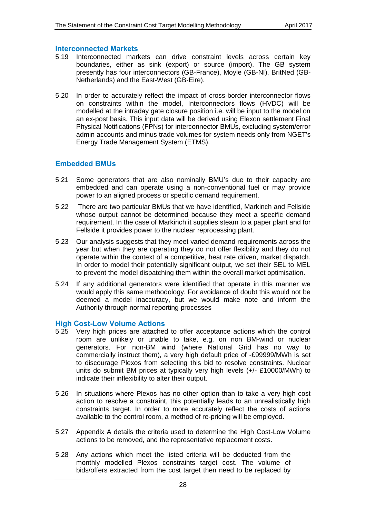### <span id="page-27-0"></span>**Interconnected Markets**

- <span id="page-27-3"></span>5.19 Interconnected markets can drive constraint levels across certain key boundaries, either as sink (export) or source (import). The GB system presently has four interconnectors (GB-France), Moyle (GB-NI), BritNed (GB-Netherlands) and the East-West (GB-Eire).
- <span id="page-27-4"></span>5.20 In order to accurately reflect the impact of cross-border interconnector flows on constraints within the model, Interconnectors flows (HVDC) will be modelled at the intraday gate closure position i.e. will be input to the model on an ex-post basis. This input data will be derived using Elexon settlement Final Physical Notifications (FPNs) for interconnector BMUs, excluding system/error admin accounts and minus trade volumes for system needs only from NGET's Energy Trade Management System (ETMS).

# <span id="page-27-1"></span>**Embedded BMUs**

- 5.21 Some generators that are also nominally BMU's due to their capacity are embedded and can operate using a non-conventional fuel or may provide power to an aligned process or specific demand requirement.
- 5.22 There are two particular BMUs that we have identified, Markinch and Fellside whose output cannot be determined because they meet a specific demand requirement. In the case of Markinch it supplies steam to a paper plant and for Fellside it provides power to the nuclear reprocessing plant.
- 5.23 Our analysis suggests that they meet varied demand requirements across the year but when they are operating they do not offer flexibility and they do not operate within the context of a competitive, heat rate driven, market dispatch. In order to model their potentially significant output, we set their SEL to MEL to prevent the model dispatching them within the overall market optimisation.
- 5.24 If any additional generators were identified that operate in this manner we would apply this same methodology. For avoidance of doubt this would not be deemed a model inaccuracy, but we would make note and inform the Authority through normal reporting processes

# <span id="page-27-2"></span>**High Cost-Low Volume Actions**

- 5.25 Very high prices are attached to offer acceptance actions which the control room are unlikely or unable to take, e.g. on non BM-wind or nuclear generators. For non-BM wind (where National Grid has no way to commercially instruct them), a very high default price of -£99999/MWh is set to discourage Plexos from selecting this bid to resolve constraints. Nuclear units do submit BM prices at typically very high levels (+/- £10000/MWh) to indicate their inflexibility to alter their output.
- <span id="page-27-5"></span>5.26 In situations where Plexos has no other option than to take a very high cost action to resolve a constraint, this potentially leads to an unrealistically high constraints target. In order to more accurately reflect the costs of actions available to the control room, a method of re-pricing will be employed.
- 5.27 Appendix A details the criteria used to determine the High Cost-Low Volume actions to be removed, and the representative replacement costs.
- 5.28 Any actions which meet the listed criteria will be deducted from the monthly modelled Plexos constraints target cost. The volume of bids/offers extracted from the cost target then need to be replaced by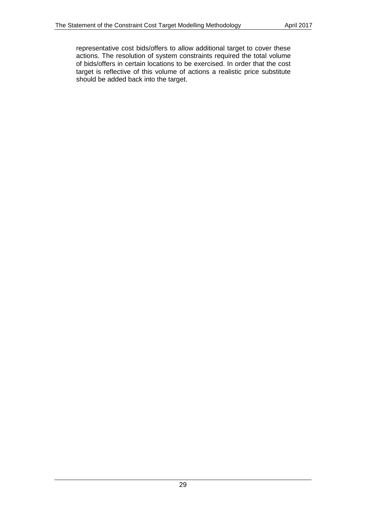representative cost bids/offers to allow additional target to cover these actions. The resolution of system constraints required the total volume of bids/offers in certain locations to be exercised. In order that the cost target is reflective of this volume of actions a realistic price substitute should be added back into the target.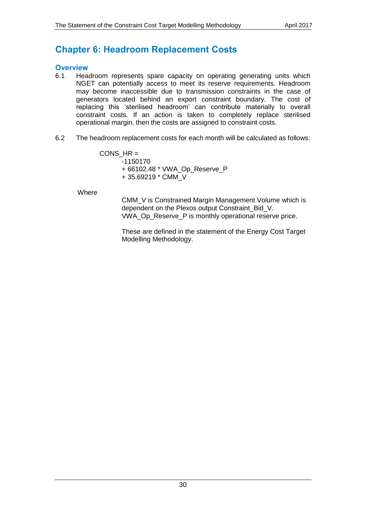# <span id="page-29-0"></span>**Chapter 6: Headroom Replacement Costs**

### <span id="page-29-1"></span>**Overview**

- 6.1 Headroom represents spare capacity on operating generating units which NGET can potentially access to meet its reserve requirements. Headroom may become inaccessible due to transmission constraints in the case of generators located behind an export constraint boundary. The cost of replacing this 'sterilised headroom' can contribute materially to overall constraint costs. If an action is taken to completely replace sterilised operational margin, then the costs are assigned to constraint costs.
- <span id="page-29-2"></span>6.2 The headroom replacement costs for each month will be calculated as follows:

CONS  $HR =$ -1150170 + 66102.48 \* VWA\_Op\_Reserve\_P + 35.69219 \* CMM\_V

Where

CMM\_V is Constrained Margin Management Volume which is dependent on the Plexos output Constraint Bid V. VWA\_Op\_Reserve\_P is monthly operational reserve price.

These are defined in the statement of the Energy Cost Target Modelling Methodology.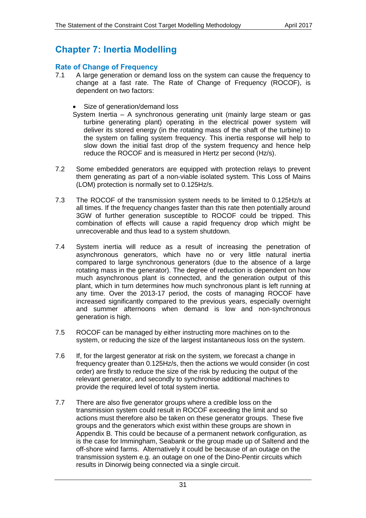# <span id="page-30-0"></span>**Chapter 7: Inertia Modelling**

# <span id="page-30-1"></span>**Rate of Change of Frequency**

- 7.1 A large generation or demand loss on the system can cause the frequency to change at a fast rate. The Rate of Change of Frequency (ROCOF), is dependent on two factors:
	- Size of generation/demand loss

System Inertia – A synchronous generating unit (mainly large steam or gas turbine generating plant) operating in the electrical power system will deliver its stored energy (in the rotating mass of the shaft of the turbine) to the system on falling system frequency. This inertia response will help to slow down the initial fast drop of the system frequency and hence help reduce the ROCOF and is measured in Hertz per second (Hz/s).

- 7.2 Some embedded generators are equipped with protection relays to prevent them generating as part of a non-viable isolated system. This Loss of Mains (LOM) protection is normally set to 0.125Hz/s.
- 7.3 The ROCOF of the transmission system needs to be limited to 0.125Hz/s at all times. If the frequency changes faster than this rate then potentially around 3GW of further generation susceptible to ROCOF could be tripped. This combination of effects will cause a rapid frequency drop which might be unrecoverable and thus lead to a system shutdown.
- 7.4 System inertia will reduce as a result of increasing the penetration of asynchronous generators, which have no or very little natural inertia compared to large synchronous generators (due to the absence of a large rotating mass in the generator). The degree of reduction is dependent on how much asynchronous plant is connected, and the generation output of this plant, which in turn determines how much synchronous plant is left running at any time. Over the 2013-17 period, the costs of managing ROCOF have increased significantly compared to the previous years, especially overnight and summer afternoons when demand is low and non-synchronous generation is high.
- 7.5 ROCOF can be managed by either instructing more machines on to the system, or reducing the size of the largest instantaneous loss on the system.
- 7.6 If, for the largest generator at risk on the system, we forecast a change in frequency greater than 0.125Hz/s, then the actions we would consider (in cost order) are firstly to reduce the size of the risk by reducing the output of the relevant generator, and secondly to synchronise additional machines to provide the required level of total system inertia.
- 7.7 There are also five generator groups where a credible loss on the transmission system could result in ROCOF exceeding the limit and so actions must therefore also be taken on these generator groups. These five groups and the generators which exist within these groups are shown in Appendix B. This could be because of a permanent network configuration, as is the case for Immingham, Seabank or the group made up of Saltend and the off-shore wind farms. Alternatively it could be because of an outage on the transmission system e.g. an outage on one of the Dino-Pentir circuits which results in Dinorwig being connected via a single circuit.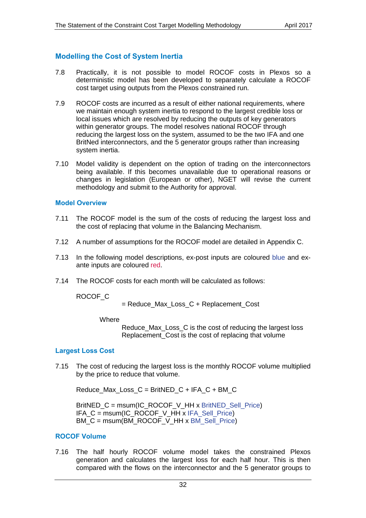# <span id="page-31-0"></span>**Modelling the Cost of System Inertia**

- 7.8 Practically, it is not possible to model ROCOF costs in Plexos so a deterministic model has been developed to separately calculate a ROCOF cost target using outputs from the Plexos constrained run.
- 7.9 ROCOF costs are incurred as a result of either national requirements, where we maintain enough system inertia to respond to the largest credible loss or local issues which are resolved by reducing the outputs of key generators within generator groups. The model resolves national ROCOF through reducing the largest loss on the system, assumed to be the two IFA and one BritNed interconnectors, and the 5 generator groups rather than increasing system inertia.
- 7.10 Model validity is dependent on the option of trading on the interconnectors being available. If this becomes unavailable due to operational reasons or changes in legislation (European or other), NGET will revise the current methodology and submit to the Authority for approval.

### <span id="page-31-1"></span>**Model Overview**

- 7.11 The ROCOF model is the sum of the costs of reducing the largest loss and the cost of replacing that volume in the Balancing Mechanism.
- 7.12 A number of assumptions for the ROCOF model are detailed in Appendix C.
- 7.13 In the following model descriptions, ex-post inputs are coloured blue and exante inputs are coloured red.
- <span id="page-31-4"></span>7.14 The ROCOF costs for each month will be calculated as follows:

ROCOF\_C

= Reduce\_Max\_Loss\_C + Replacement\_Cost

**Where** 

Reduce Max Loss C is the cost of reducing the largest loss Replacement Cost is the cost of replacing that volume

### <span id="page-31-2"></span>**Largest Loss Cost**

7.15 The cost of reducing the largest loss is the monthly ROCOF volume multiplied by the price to reduce that volume.

Reduce Max Loss  $C = BritNED C + IFA C + BM C$ 

BritNED  $C =$  msum(IC\_ROCOF\_V\_HH x BritNED\_Sell\_Price) IFA\_C = msum(IC\_ROCOF\_V\_HH x IFA\_Sell\_Price) BM\_C = msum(BM\_ROCOF\_V\_HH x BM\_Sell\_Price)

### <span id="page-31-3"></span>**ROCOF Volume**

7.16 The half hourly ROCOF volume model takes the constrained Plexos generation and calculates the largest loss for each half hour. This is then compared with the flows on the interconnector and the 5 generator groups to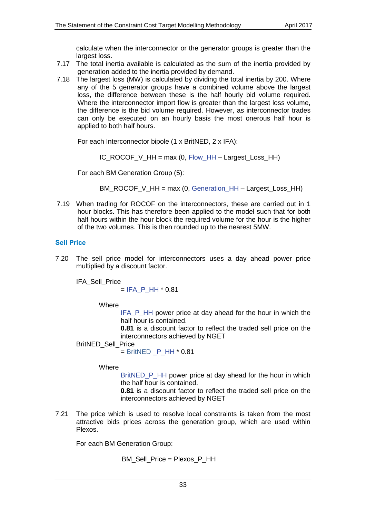calculate when the interconnector or the generator groups is greater than the largest loss.

- 7.17 The total inertia available is calculated as the sum of the inertia provided by generation added to the inertia provided by demand.
- 7.18 The largest loss (MW) is calculated by dividing the total inertia by 200. Where any of the 5 generator groups have a combined volume above the largest loss, the difference between these is the half hourly bid volume required. Where the interconnector import flow is greater than the largest loss volume, the difference is the bid volume required. However, as interconnector trades can only be executed on an hourly basis the most onerous half hour is applied to both half hours.

For each Interconnector bipole (1 x BritNED, 2 x IFA):

IC\_ROCOF\_V\_HH = max (0, Flow\_HH – Largest\_Loss\_HH)

For each BM Generation Group (5):

BM\_ROCOF\_V\_HH = max (0, Generation\_HH – Largest\_Loss\_HH)

7.19 When trading for ROCOF on the interconnectors, these are carried out in 1 hour blocks. This has therefore been applied to the model such that for both half hours within the hour block the required volume for the hour is the higher of the two volumes. This is then rounded up to the nearest 5MW.

# <span id="page-32-0"></span>**Sell Price**

7.20 The sell price model for interconnectors uses a day ahead power price multiplied by a discount factor.

IFA\_Sell\_Price

 $=$  IFA P HH  $*$  0.81

**Where** 

IFA P HH power price at day ahead for the hour in which the half hour is contained.

**0.81** is a discount factor to reflect the traded sell price on the interconnectors achieved by NGET

### BritNED\_Sell\_Price

 $=$  BritNED  $\,$  P HH  $*$  0.81

### **Where**

BritNED P HH power price at day ahead for the hour in which the half hour is contained.

**0.81** is a discount factor to reflect the traded sell price on the interconnectors achieved by NGET

7.21 The price which is used to resolve local constraints is taken from the most attractive bids prices across the generation group, which are used within Plexos.

For each BM Generation Group:

BM\_Sell\_Price = Plexos\_P\_HH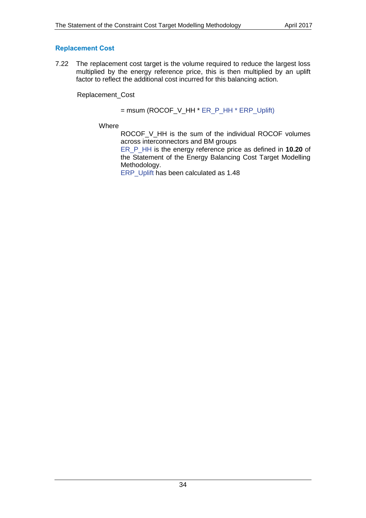# <span id="page-33-0"></span>**Replacement Cost**

7.22 The replacement cost target is the volume required to reduce the largest loss multiplied by the energy reference price, this is then multiplied by an uplift factor to reflect the additional cost incurred for this balancing action.

Replacement\_Cost

### $=$  msum (ROCOF\_V\_HH  $*$  ER\_P\_HH  $*$  ERP\_Uplift)

**Where** 

ROCOF\_V\_HH is the sum of the individual ROCOF volumes across interconnectors and BM groups

ER\_P\_HH is the energy reference price as defined in **10.20** of the Statement of the Energy Balancing Cost Target Modelling Methodology.

ERP\_Uplift has been calculated as 1.48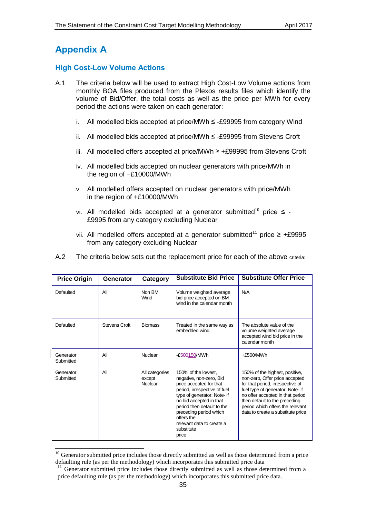# <span id="page-34-0"></span>**Appendix A**

-

# <span id="page-34-1"></span>**High Cost-Low Volume Actions**

- A.1 The criteria below will be used to extract High Cost-Low Volume actions from monthly BOA files produced from the Plexos results files which identify the volume of Bid/Offer, the total costs as well as the price per MWh for every period the actions were taken on each generator:
	- i. All modelled bids accepted at price/MWh ≤ -£99995 from category Wind
	- ii. All modelled bids accepted at price/MWh ≤ -£99995 from Stevens Croft
	- iii. All modelled offers accepted at price/MWh ≥ +£99995 from Stevens Croft
	- iv. All modelled bids accepted on nuclear generators with price/MWh in the region of −£10000/MWh
	- v. All modelled offers accepted on nuclear generators with price/MWh in the region of +£10000/MWh
	- vi. All modelled bids accepted at a generator submitted<sup>10</sup> price  $\leq$  -£9995 from any category excluding Nuclear
	- vii. All modelled offers accepted at a generator submitted<sup>11</sup> price ≥ +£9995 from any category excluding Nuclear

| <b>Price Origin</b>    | Generator            | Category                                   | <b>Substitute Bid Price</b>                                                                                                                                                                                                                                                                   | <b>Substitute Offer Price</b>                                                                                                                                                                                                                                                          |
|------------------------|----------------------|--------------------------------------------|-----------------------------------------------------------------------------------------------------------------------------------------------------------------------------------------------------------------------------------------------------------------------------------------------|----------------------------------------------------------------------------------------------------------------------------------------------------------------------------------------------------------------------------------------------------------------------------------------|
| Defaulted              | All                  | Non BM<br>Wind                             | Volume weighted average<br>bid price accepted on BM<br>wind in the calendar month                                                                                                                                                                                                             | N/A                                                                                                                                                                                                                                                                                    |
| Defaulted              | <b>Stevens Croft</b> | <b>Biomass</b>                             | Treated in the same way as<br>embedded wind.                                                                                                                                                                                                                                                  | The absolute value of the<br>volume weighted average<br>accepted wind bid price in the<br>calendar month                                                                                                                                                                               |
| Generator<br>Submitted | All                  | Nuclear                                    | £500150/MWh                                                                                                                                                                                                                                                                                   | $+£500/MWh$                                                                                                                                                                                                                                                                            |
| Generator<br>Submitted | All                  | All categories<br>except<br><b>Nuclear</b> | 150% of the lowest.<br>negative, non-zero, Bid<br>price accepted for that<br>period, irrespective of fuel<br>type of generator. Note- if<br>no bid accepted in that<br>period then default to the<br>preceding period which<br>offers the<br>relevant data to create a<br>substitute<br>price | 150% of the highest, positive,<br>non-zero, Offer price accepted<br>for that period, irrespective of<br>fuel type of generator. Note- if<br>no offer accepted in that period<br>then default to the preceding<br>period which offers the relevant<br>data to create a substitute price |

A.2 The criteria below sets out the replacement price for each of the above criteria:

<sup>&</sup>lt;sup>10</sup> Generator submitted price includes those directly submitted as well as those determined from a price defaulting rule (as per the methodology) which incorporates this submitted price data

<sup>&</sup>lt;sup>11</sup> Generator submitted price includes those directly submitted as well as those determined from a price defaulting rule (as per the methodology) which incorporates this submitted price data.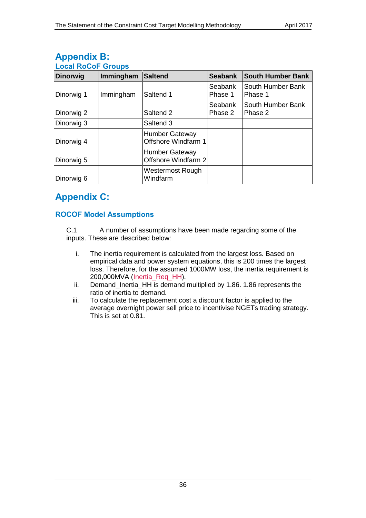<span id="page-35-1"></span>

| LUUGI INUUUI UIUUNJ |           |                                              |                    |                              |
|---------------------|-----------|----------------------------------------------|--------------------|------------------------------|
| <b>Dinorwig</b>     | Immingham | <b>Saltend</b>                               | <b>Seabank</b>     | <b>South Humber Bank</b>     |
| Dinorwig 1          | Immingham | Saltend 1                                    | Seabank<br>Phase 1 | South Humber Bank<br>Phase 1 |
| Dinorwig 2          |           | Saltend 2                                    | Seabank<br>Phase 2 | South Humber Bank<br>Phase 2 |
| Dinorwig 3          |           | Saltend 3                                    |                    |                              |
| Dinorwig 4          |           | <b>Humber Gateway</b><br>Offshore Windfarm 1 |                    |                              |
| Dinorwig 5          |           | <b>Humber Gateway</b><br>Offshore Windfarm 2 |                    |                              |
| Dinorwig 6          |           | Westermost Rough<br>Windfarm                 |                    |                              |

# <span id="page-35-0"></span>**Appendix B: Local RoCoF Groups**

# <span id="page-35-2"></span>**Appendix C:**

# **ROCOF Model Assumptions**

C.1 A number of assumptions have been made regarding some of the inputs. These are described below:

- i. The inertia requirement is calculated from the largest loss. Based on empirical data and power system equations, this is 200 times the largest loss. Therefore, for the assumed 1000MW loss, the inertia requirement is 200,000MVA (Inertia\_Req\_HH).
- ii. Demand\_Inertia\_HH is demand multiplied by 1.86. 1.86 represents the ratio of inertia to demand.
- iii. To calculate the replacement cost a discount factor is applied to the average overnight power sell price to incentivise NGETs trading strategy. This is set at 0.81.